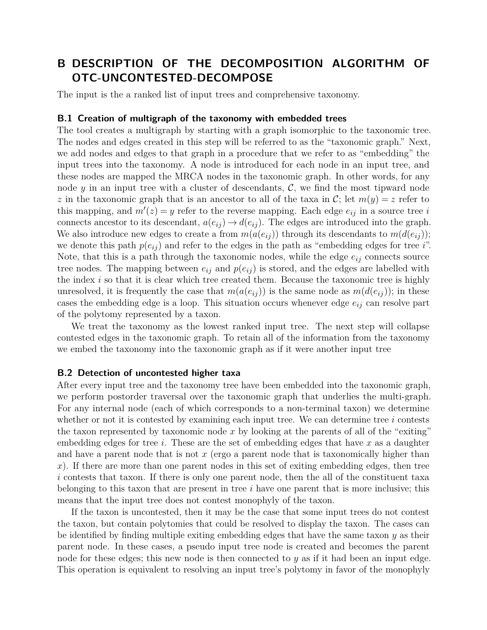# **B DESCRIPTION OF THE DECOMPOSITION ALGORITHM OF OTC-UNCONTESTED-DECOMPOSE**

The input is the a ranked list of input trees and comprehensive taxonomy.

#### **B.1 Creation of multigraph of the taxonomy with embedded trees**

The tool creates a multigraph by starting with a graph isomorphic to the taxonomic tree. The nodes and edges created in this step will be referred to as the "taxonomic graph." Next, we add nodes and edges to that graph in a procedure that we refer to as "embedding" the input trees into the taxonomy. A node is introduced for each node in an input tree, and these nodes are mapped the MRCA nodes in the taxonomic graph. In other words, for any node  $y$  in an input tree with a cluster of descendants,  $\mathcal{C}$ , we find the most tipward node *z* in the taxonomic graph that is an ancestor to all of the taxa in C; let  $m(y) = z$  refer to this mapping, and  $m'(z) = y$  refer to the reverse mapping. Each edge  $e_{ij}$  in a source tree *i* connects ancestor to its descendant,  $a(e_{ij}) \rightarrow d(e_{ij})$ . The edges are introduced into the graph. We also introduce new edges to create a from  $m(a(e_{ij}))$  through its descendants to  $m(d(e_{ij}))$ ; we denote this path  $p(e_{ij})$  and refer to the edges in the path as "embedding edges for tree *i*". Note, that this is a path through the taxonomic nodes, while the edge *eij* connects source tree nodes. The mapping between  $e_{ij}$  and  $p(e_{ij})$  is stored, and the edges are labelled with the index *i* so that it is clear which tree created them. Because the taxonomic tree is highly unresolved, it is frequently the case that  $m(a(e_{ij}))$  is the same node as  $m(d(e_{ij}))$ ; in these cases the embedding edge is a loop. This situation occurs whenever edge *eij* can resolve part of the polytomy represented by a taxon.

We treat the taxonomy as the lowest ranked input tree. The next step will collapse contested edges in the taxonomic graph. To retain all of the information from the taxonomy we embed the taxonomy into the taxonomic graph as if it were another input tree

#### **B.2 Detection of uncontested higher taxa**

After every input tree and the taxonomy tree have been embedded into the taxonomic graph, we perform postorder traversal over the taxonomic graph that underlies the multi-graph. For any internal node (each of which corresponds to a non-terminal taxon) we determine whether or not it is contested by examining each input tree. We can determine tree *i* contests the taxon represented by taxonomic node *x* by looking at the parents of all of the "exiting" embedding edges for tree *i*. These are the set of embedding edges that have *x* as a daughter and have a parent node that is not *x* (ergo a parent node that is taxonomically higher than *x*). If there are more than one parent nodes in this set of exiting embedding edges, then tree *i* contests that taxon. If there is only one parent node, then the all of the constituent taxa belonging to this taxon that are present in tree *i* have one parent that is more inclusive; this means that the input tree does not contest monophyly of the taxon.

If the taxon is uncontested, then it may be the case that some input trees do not contest the taxon, but contain polytomies that could be resolved to display the taxon. The cases can be identified by finding multiple exiting embedding edges that have the same taxon *y* as their parent node. In these cases, a pseudo input tree node is created and becomes the parent node for these edges; this new node is then connected to *y* as if it had been an input edge. This operation is equivalent to resolving an input tree's polytomy in favor of the monophyly